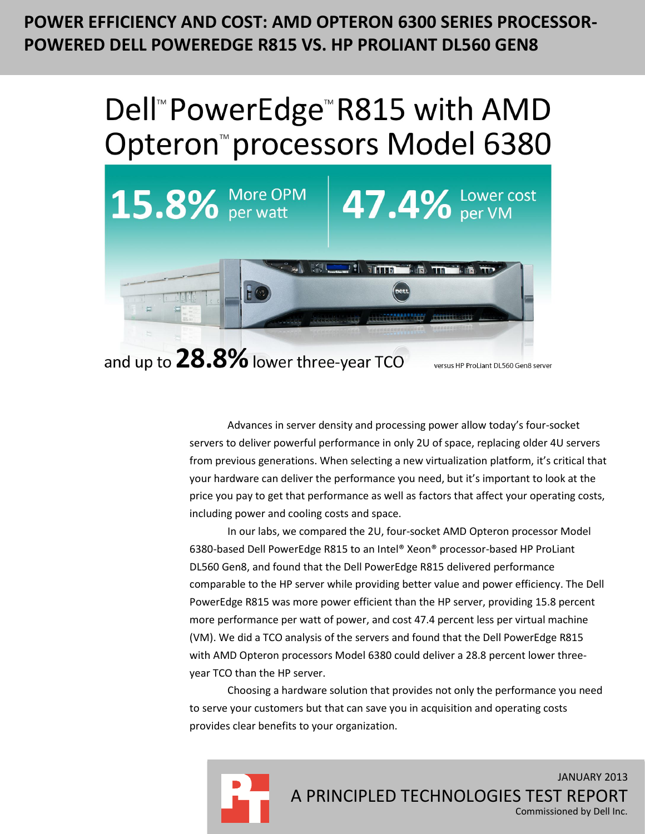# **POWER EFFICIENCY AND COST: AMD OPTERON 6300 SERIES PROCESSOR-POWERED DELL POWEREDGE R815 VS. HP PROLIANT DL560 GEN8**

# Dell<sup>™</sup> PowerEdge<sup>™</sup> R815 with AMD Opteron<sup>™</sup>processors Model 6380



Advances in server density and processing power allow today's four-socket servers to deliver powerful performance in only 2U of space, replacing older 4U servers from previous generations. When selecting a new virtualization platform, it's critical that your hardware can deliver the performance you need, but it's important to look at the price you pay to get that performance as well as factors that affect your operating costs, including power and cooling costs and space.

In our labs, we compared the 2U, four-socket AMD Opteron processor Model 6380-based Dell PowerEdge R815 to an Intel® Xeon® processor-based HP ProLiant DL560 Gen8, and found that the Dell PowerEdge R815 delivered performance comparable to the HP server while providing better value and power efficiency. The Dell PowerEdge R815 was more power efficient than the HP server, providing 15.8 percent more performance per watt of power, and cost 47.4 percent less per virtual machine (VM). We did a TCO analysis of the servers and found that the Dell PowerEdge R815 with AMD Opteron processors Model 6380 could deliver a 28.8 percent lower threeyear TCO than the HP server.

Choosing a hardware solution that provides not only the performance you need to serve your customers but that can save you in acquisition and operating costs provides clear benefits to your organization.

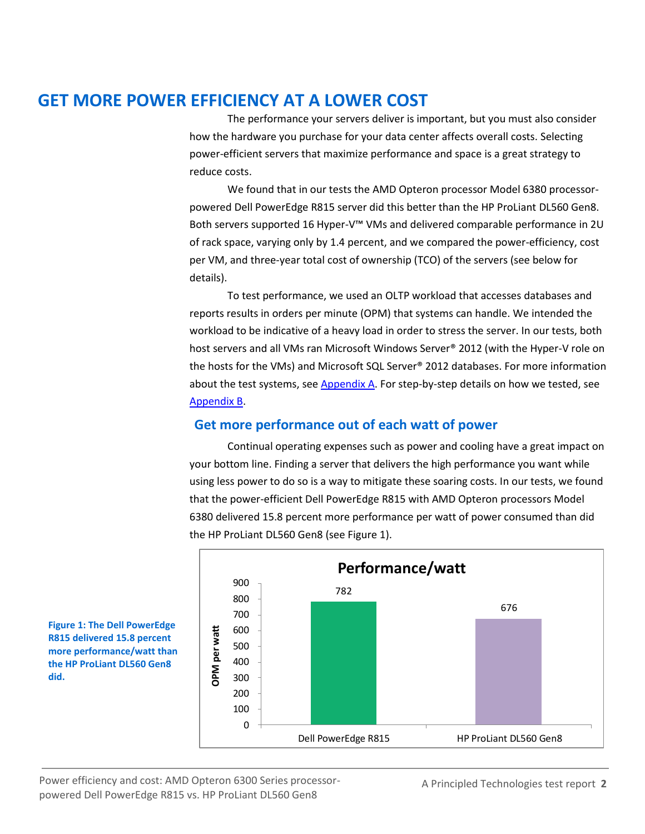# **GET MORE POWER EFFICIENCY AT A LOWER COST**

The performance your servers deliver is important, but you must also consider how the hardware you purchase for your data center affects overall costs. Selecting power-efficient servers that maximize performance and space is a great strategy to reduce costs.

We found that in our tests the AMD Opteron processor Model 6380 processorpowered Dell PowerEdge R815 server did this better than the HP ProLiant DL560 Gen8. Both servers supported 16 Hyper-V™ VMs and delivered comparable performance in 2U of rack space, varying only by 1.4 percent, and we compared the power-efficiency, cost per VM, and three-year total cost of ownership (TCO) of the servers (see below for details).

To test performance, we used an OLTP workload that accesses databases and reports results in orders per minute (OPM) that systems can handle. We intended the workload to be indicative of a heavy load in order to stress the server. In our tests, both host servers and all VMs ran Microsoft Windows Server® 2012 (with the Hyper-V role on the hosts for the VMs) and Microsoft SQL Server® 2012 databases. For more information about the test systems, se[e Appendix A.](#page-7-0) For step-by-step details on how we tested, see [Appendix B.](#page-9-0)

### **Get more performance out of each watt of power**

Continual operating expenses such as power and cooling have a great impact on your bottom line. Finding a server that delivers the high performance you want while using less power to do so is a way to mitigate these soaring costs. In our tests, we found that the power-efficient Dell PowerEdge R815 with AMD Opteron processors Model 6380 delivered 15.8 percent more performance per watt of power consumed than did the HP ProLiant DL560 Gen8 (see Figure 1).



**Figure 1: The Dell PowerEdge R815 delivered 15.8 percent more performance/watt than the HP ProLiant DL560 Gen8 did.**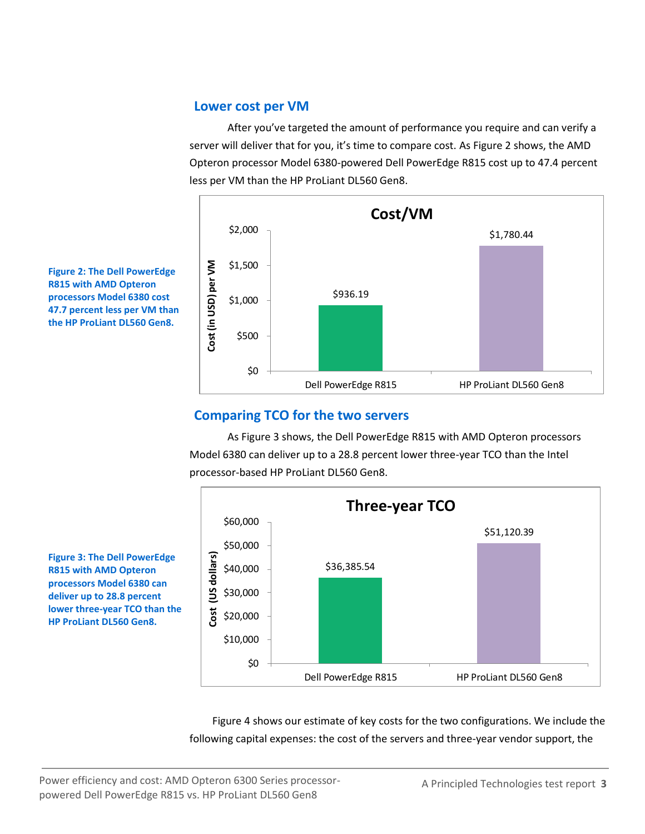#### **Lower cost per VM**

After you've targeted the amount of performance you require and can verify a server will deliver that for you, it's time to compare cost. As Figure 2 shows, the AMD Opteron processor Model 6380-powered Dell PowerEdge R815 cost up to 47.4 percent less per VM than the HP ProLiant DL560 Gen8.



**Figure 2: The Dell PowerEdge R815 with AMD Opteron processors Model 6380 cost 47.7 percent less per VM than the HP ProLiant DL560 Gen8.**

### **Comparing TCO for the two servers**

As Figure 3 shows, the Dell PowerEdge R815 with AMD Opteron processors Model 6380 can deliver up to a 28.8 percent lower three-year TCO than the Intel processor-based HP ProLiant DL560 Gen8.



**R815 with AMD Opteron processors Model 6380 can deliver up to 28.8 percent lower three-year TCO than the HP ProLiant DL560 Gen8.**

**Figure 3: The Dell PowerEdge** 

Figure 4 shows our estimate of key costs for the two configurations. We include the following capital expenses: the cost of the servers and three-year vendor support, the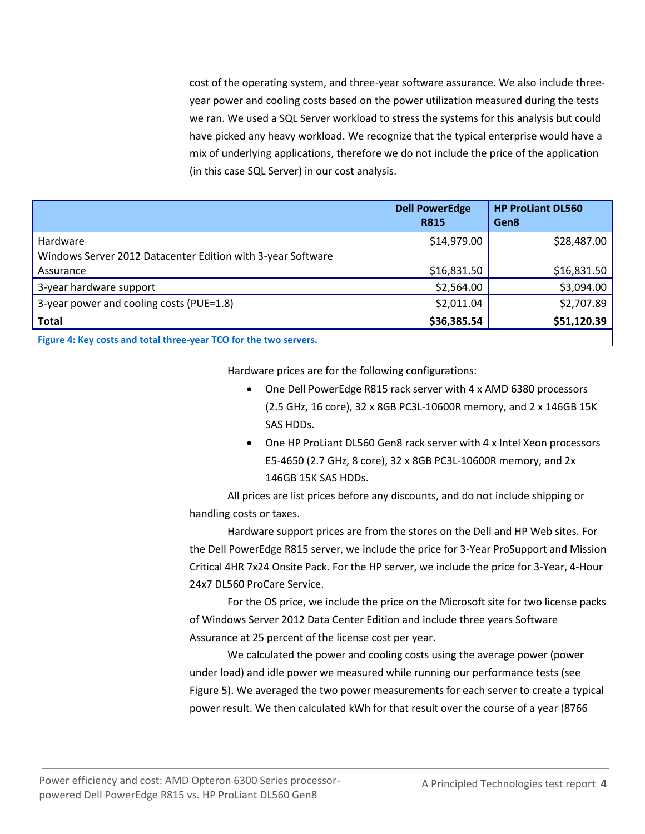cost of the operating system, and three-year software assurance. We also include threeyear power and cooling costs based on the power utilization measured during the tests we ran. We used a SQL Server workload to stress the systems for this analysis but could have picked any heavy workload. We recognize that the typical enterprise would have a mix of underlying applications, therefore we do not include the price of the application (in this case SQL Server) in our cost analysis.

|                                                             | <b>Dell PowerEdge</b><br><b>R815</b> | <b>HP ProLiant DL560</b><br>Gen8 |
|-------------------------------------------------------------|--------------------------------------|----------------------------------|
| Hardware                                                    | \$14,979.00                          | \$28,487.00                      |
| Windows Server 2012 Datacenter Edition with 3-year Software |                                      |                                  |
| Assurance                                                   | \$16,831.50                          | \$16,831.50                      |
| 3-year hardware support                                     | \$2,564.00                           | \$3,094.00                       |
| 3-year power and cooling costs (PUE=1.8)                    | \$2,011.04                           | \$2,707.89                       |
| <b>Total</b>                                                | \$36,385.54                          | \$51,120.39                      |

**Figure 4: Key costs and total three-year TCO for the two servers.**

Hardware prices are for the following configurations:

- One Dell PowerEdge R815 rack server with 4 x AMD 6380 processors (2.5 GHz, 16 core), 32 x 8GB PC3L-10600R memory, and 2 x 146GB 15K SAS HDDs.
- One HP ProLiant DL560 Gen8 rack server with 4 x Intel Xeon processors E5-4650 (2.7 GHz, 8 core), 32 x 8GB PC3L-10600R memory, and 2x 146GB 15K SAS HDDs.

All prices are list prices before any discounts, and do not include shipping or handling costs or taxes.

Hardware support prices are from the stores on the Dell and HP Web sites. For the Dell PowerEdge R815 server, we include the price for 3-Year ProSupport and Mission Critical 4HR 7x24 Onsite Pack. For the HP server, we include the price for 3-Year, 4-Hour 24x7 DL560 ProCare Service.

For the OS price, we include the price on the Microsoft site for two license packs of Windows Server 2012 Data Center Edition and include three years Software Assurance at 25 percent of the license cost per year.

We calculated the power and cooling costs using the average power (power under load) and idle power we measured while running our performance tests (see Figure 5). We averaged the two power measurements for each server to create a typical power result. We then calculated kWh for that result over the course of a year (8766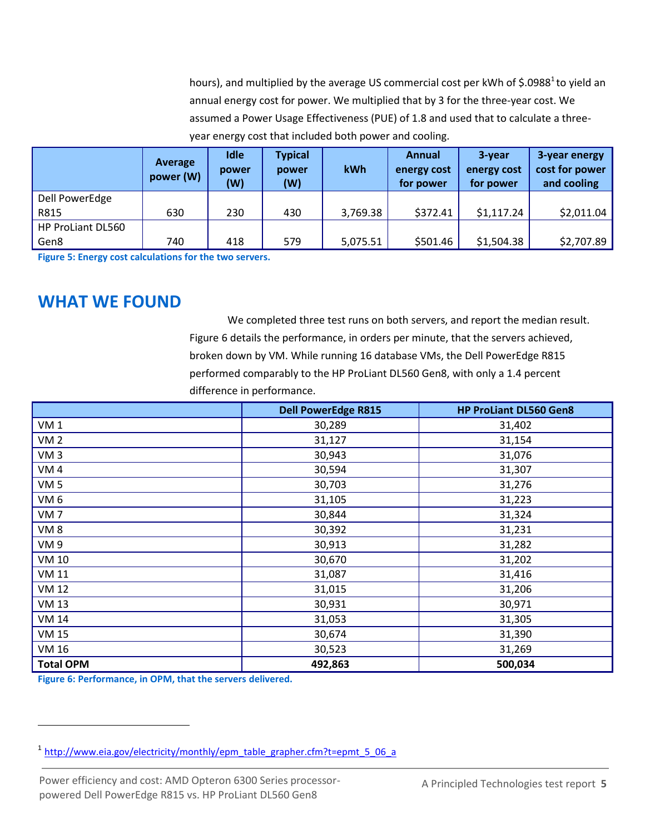hours), and multiplied by the average US commercial cost per kWh of \$.0988<sup>1</sup> to yield an annual energy cost for power. We multiplied that by 3 for the three-year cost. We assumed a Power Usage Effectiveness (PUE) of 1.8 and used that to calculate a threeyear energy cost that included both power and cooling.

|                          | Average<br>power (W) | <b>Idle</b><br>power<br>(W) | <b>Typical</b><br>power<br>(W) | kWh      | Annual<br>energy cost<br>for power | 3-year<br>energy cost<br>for power | 3-year energy<br>cost for power<br>and cooling |
|--------------------------|----------------------|-----------------------------|--------------------------------|----------|------------------------------------|------------------------------------|------------------------------------------------|
| Dell PowerEdge           |                      |                             |                                |          |                                    |                                    |                                                |
| R815                     | 630                  | 230                         | 430                            | 3,769.38 | \$372.41                           | \$1,117.24                         | \$2,011.04                                     |
| <b>HP ProLiant DL560</b> |                      |                             |                                |          |                                    |                                    |                                                |
| Gen8                     | 740                  | 418                         | 579                            | 5,075.51 | \$501.46                           | \$1,504.38                         | \$2,707.89                                     |

**Figure 5: Energy cost calculations for the two servers.**

### **WHAT WE FOUND**

We completed three test runs on both servers, and report the median result. Figure 6 details the performance, in orders per minute, that the servers achieved, broken down by VM. While running 16 database VMs, the Dell PowerEdge R815 performed comparably to the HP ProLiant DL560 Gen8, with only a 1.4 percent difference in performance.

|                  | <b>Dell PowerEdge R815</b> | <b>HP ProLiant DL560 Gen8</b> |
|------------------|----------------------------|-------------------------------|
| VM <sub>1</sub>  | 30,289                     | 31,402                        |
| <b>VM2</b>       | 31,127                     | 31,154                        |
| VM <sub>3</sub>  | 30,943                     | 31,076                        |
| VM <sub>4</sub>  | 30,594                     | 31,307                        |
| VM <sub>5</sub>  | 30,703                     | 31,276                        |
| VM <sub>6</sub>  | 31,105                     | 31,223                        |
| VM <sub>7</sub>  | 30,844                     | 31,324                        |
| VM <sub>8</sub>  | 30,392                     | 31,231                        |
| VM <sub>9</sub>  | 30,913                     | 31,282                        |
| <b>VM 10</b>     | 30,670                     | 31,202                        |
| <b>VM 11</b>     | 31,087                     | 31,416                        |
| <b>VM 12</b>     | 31,015                     | 31,206                        |
| <b>VM 13</b>     | 30,931                     | 30,971                        |
| <b>VM 14</b>     | 31,053                     | 31,305                        |
| <b>VM 15</b>     | 30,674                     | 31,390                        |
| VM 16            | 30,523                     | 31,269                        |
| <b>Total OPM</b> | 492,863                    | 500,034                       |

**Figure 6: Performance, in OPM, that the servers delivered.**

 $\overline{\phantom{a}}$ 

<sup>&</sup>lt;sup>1</sup> [http://www.eia.gov/electricity/monthly/epm\\_table\\_grapher.cfm?t=epmt\\_5\\_06\\_a](http://www.eia.gov/electricity/monthly/epm_table_grapher.cfm?t=epmt_5_06_a)

Power efficiency and cost: AMD Opteron 6300 Series processorpowered Dell PowerEdge R815 vs. HP ProLiant DL560 Gen8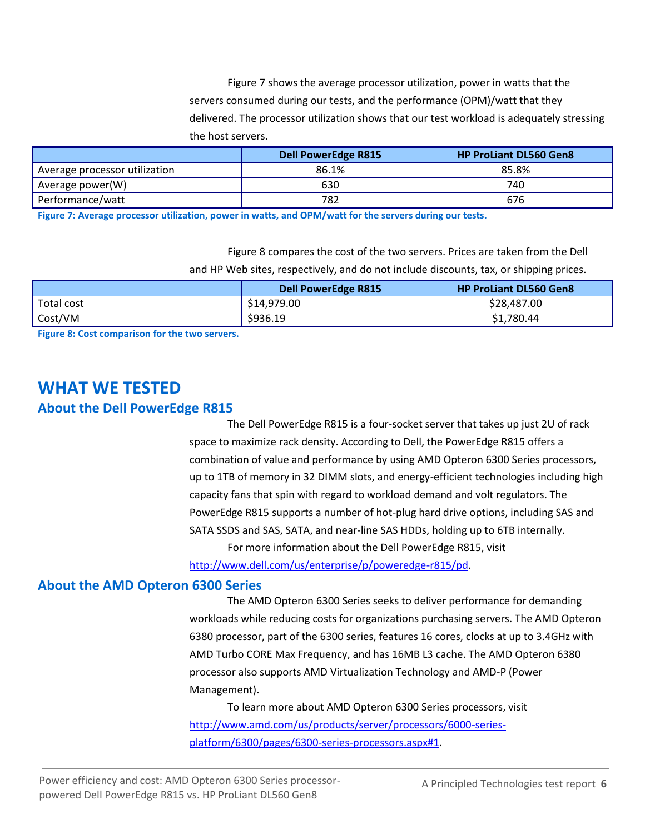Figure 7 shows the average processor utilization, power in watts that the servers consumed during our tests, and the performance (OPM)/watt that they delivered. The processor utilization shows that our test workload is adequately stressing the host servers.

|                               | <b>Dell PowerEdge R815</b> | <b>HP ProLiant DL560 Gen8</b> |
|-------------------------------|----------------------------|-------------------------------|
| Average processor utilization | 86.1%                      | 85.8%                         |
| Average power(W)              | 630                        | 740                           |
| Performance/watt              | 782                        | 676                           |

**Figure 7: Average processor utilization, power in watts, and OPM/watt for the servers during our tests.**

Figure 8 compares the cost of the two servers. Prices are taken from the Dell and HP Web sites, respectively, and do not include discounts, tax, or shipping prices.

|            | <b>Dell PowerEdge R815</b> | <b>HP ProLiant DL560 Gen8</b> |
|------------|----------------------------|-------------------------------|
| Total cost | \$14,979.00                | \$28,487.00                   |
| Cost/VM    | \$936.19                   | \$1,780.44                    |

**Figure 8: Cost comparison for the two servers.**

# **WHAT WE TESTED**

#### **About the Dell PowerEdge R815**

The Dell PowerEdge R815 is a four-socket server that takes up just 2U of rack space to maximize rack density. According to Dell, the PowerEdge R815 offers a combination of value and performance by using AMD Opteron 6300 Series processors, up to 1TB of memory in 32 DIMM slots, and energy-efficient technologies including high capacity fans that spin with regard to workload demand and volt regulators. The PowerEdge R815 supports a number of hot-plug hard drive options, including SAS and SATA SSDS and SAS, SATA, and near-line SAS HDDs, holding up to 6TB internally. For more information about the Dell PowerEdge R815, visit

[http://www.dell.com/us/enterprise/p/poweredge-r815/pd.](http://www.dell.com/us/enterprise/p/poweredge-r815/pd)

#### **About the AMD Opteron 6300 Series**

The AMD Opteron 6300 Series seeks to deliver performance for demanding workloads while reducing costs for organizations purchasing servers. The AMD Opteron 6380 processor, part of the 6300 series, features 16 cores, clocks at up to 3.4GHz with AMD Turbo CORE Max Frequency, and has 16MB L3 cache. The AMD Opteron 6380 processor also supports AMD Virtualization Technology and AMD-P (Power Management).

To learn more about AMD Opteron 6300 Series processors, visit [http://www.amd.com/us/products/server/processors/6000-series](http://www.amd.com/us/products/server/processors/6000-series-platform/6300/pages/6300-series-processors.aspx%231)[platform/6300/pages/6300-series-processors.aspx#1.](http://www.amd.com/us/products/server/processors/6000-series-platform/6300/pages/6300-series-processors.aspx%231)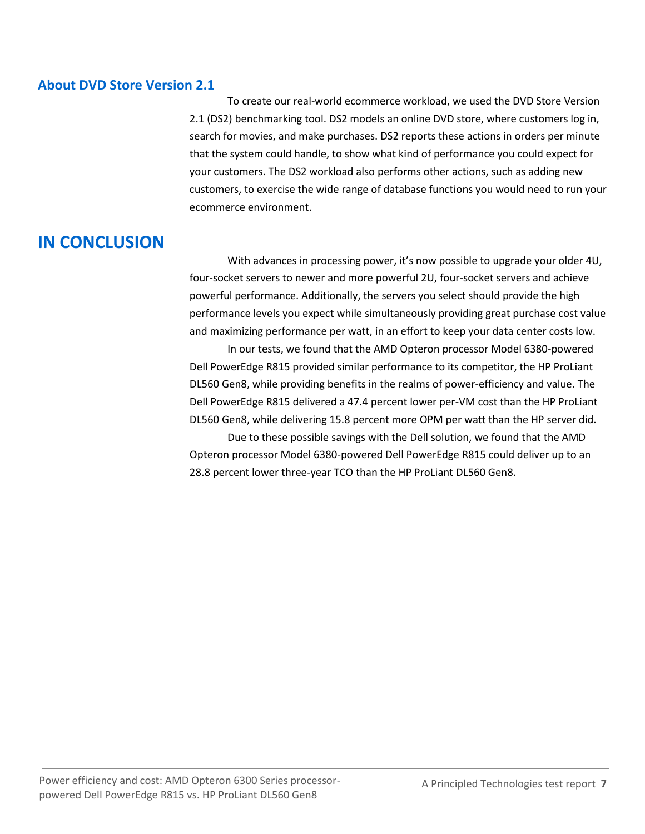#### **About DVD Store Version 2.1**

To create our real-world ecommerce workload, we used the DVD Store Version 2.1 (DS2) benchmarking tool. DS2 models an online DVD store, where customers log in, search for movies, and make purchases. DS2 reports these actions in orders per minute that the system could handle, to show what kind of performance you could expect for your customers. The DS2 workload also performs other actions, such as adding new customers, to exercise the wide range of database functions you would need to run your ecommerce environment.

# **IN CONCLUSION**

With advances in processing power, it's now possible to upgrade your older 4U, four-socket servers to newer and more powerful 2U, four-socket servers and achieve powerful performance. Additionally, the servers you select should provide the high performance levels you expect while simultaneously providing great purchase cost value and maximizing performance per watt, in an effort to keep your data center costs low.

In our tests, we found that the AMD Opteron processor Model 6380-powered Dell PowerEdge R815 provided similar performance to its competitor, the HP ProLiant DL560 Gen8, while providing benefits in the realms of power-efficiency and value. The Dell PowerEdge R815 delivered a 47.4 percent lower per-VM cost than the HP ProLiant DL560 Gen8, while delivering 15.8 percent more OPM per watt than the HP server did.

Due to these possible savings with the Dell solution, we found that the AMD Opteron processor Model 6380-powered Dell PowerEdge R815 could deliver up to an 28.8 percent lower three-year TCO than the HP ProLiant DL560 Gen8.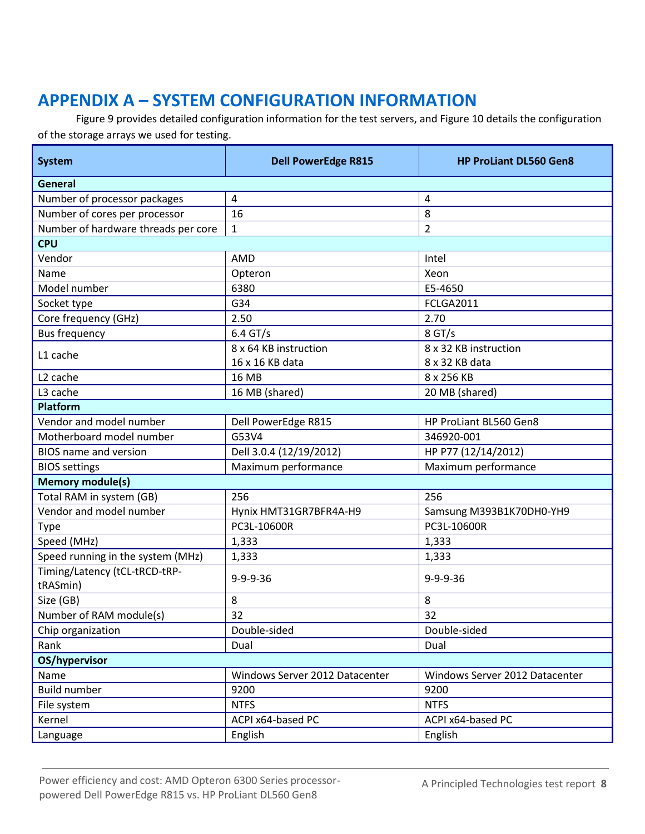# <span id="page-7-0"></span>**APPENDIX A – SYSTEM CONFIGURATION INFORMATION**

Figure 9 provides detailed configuration information for the test servers, and Figure 10 details the configuration of the storage arrays we used for testing.

| <b>System</b>                             | <b>Dell PowerEdge R815</b>                 | <b>HP ProLiant DL560 Gen8</b>  |  |
|-------------------------------------------|--------------------------------------------|--------------------------------|--|
| General                                   |                                            |                                |  |
| Number of processor packages              | $\pmb{4}$                                  | 4                              |  |
| Number of cores per processor             | 16                                         | 8                              |  |
| Number of hardware threads per core       | $\mathbf{1}$                               | $\overline{2}$                 |  |
| <b>CPU</b>                                |                                            |                                |  |
| Vendor                                    | AMD                                        | Intel                          |  |
| Name                                      | Opteron                                    | Xeon                           |  |
| Model number                              | 6380                                       | E5-4650                        |  |
| Socket type                               | G34                                        | <b>FCLGA2011</b>               |  |
| Core frequency (GHz)                      | 2.50                                       | 2.70                           |  |
| <b>Bus frequency</b>                      | $6.4$ GT/s                                 | $8$ GT/s                       |  |
| L1 cache                                  | 8 x 64 KB instruction                      | 8 x 32 KB instruction          |  |
|                                           | 16 x 16 KB data                            | 8 x 32 KB data                 |  |
| L <sub>2</sub> cache                      | <b>16 MB</b>                               | 8 x 256 KB                     |  |
| L3 cache                                  | 16 MB (shared)                             | 20 MB (shared)                 |  |
| <b>Platform</b>                           |                                            |                                |  |
| Vendor and model number                   | Dell PowerEdge R815                        | HP ProLiant BL560 Gen8         |  |
| Motherboard model number                  | G53V4                                      | 346920-001                     |  |
| <b>BIOS</b> name and version              | Dell 3.0.4 (12/19/2012)                    | HP P77 (12/14/2012)            |  |
| <b>BIOS settings</b>                      | Maximum performance<br>Maximum performance |                                |  |
| <b>Memory module(s)</b>                   |                                            |                                |  |
| Total RAM in system (GB)                  | 256                                        | 256                            |  |
| Vendor and model number                   | Hynix HMT31GR7BFR4A-H9                     | Samsung M393B1K70DH0-YH9       |  |
| <b>Type</b>                               | PC3L-10600R                                | PC3L-10600R                    |  |
| Speed (MHz)                               | 1,333                                      | 1,333                          |  |
| Speed running in the system (MHz)         | 1,333                                      | 1,333                          |  |
| Timing/Latency (tCL-tRCD-tRP-<br>tRASmin) | $9 - 9 - 9 - 36$                           | 9-9-9-36                       |  |
| Size (GB)                                 | 8                                          | 8                              |  |
| Number of RAM module(s)                   | 32                                         | 32                             |  |
| Chip organization                         | Double-sided                               | Double-sided                   |  |
| Rank                                      | Dual                                       | Dual                           |  |
| OS/hypervisor                             |                                            |                                |  |
| Name                                      | Windows Server 2012 Datacenter             | Windows Server 2012 Datacenter |  |
| <b>Build number</b>                       | 9200                                       | 9200                           |  |
| File system                               | <b>NTFS</b>                                | <b>NTFS</b>                    |  |
| Kernel                                    | ACPI x64-based PC                          | ACPI x64-based PC              |  |
| Language                                  | English                                    | English                        |  |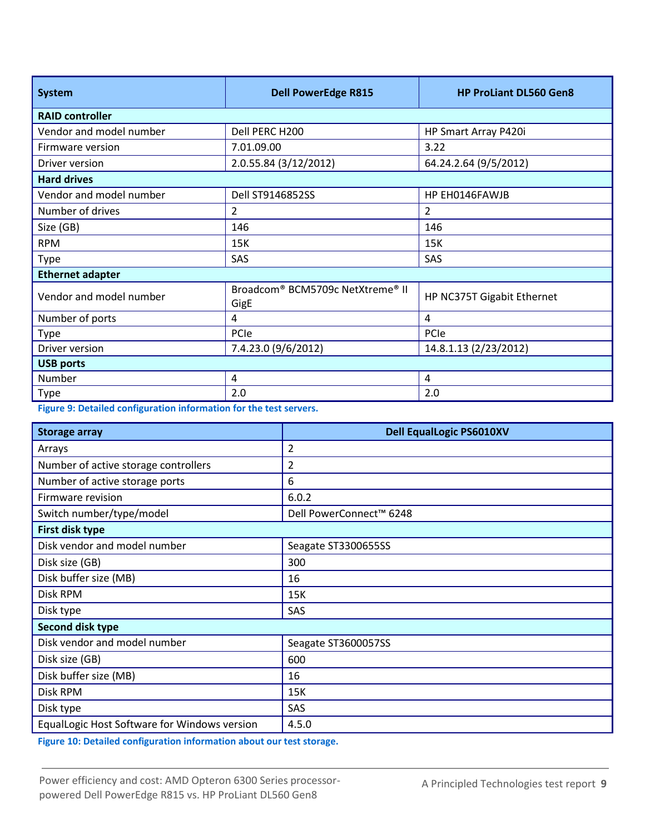| <b>System</b>           | <b>Dell PowerEdge R815</b>               | <b>HP ProLiant DL560 Gen8</b> |  |  |
|-------------------------|------------------------------------------|-------------------------------|--|--|
| <b>RAID controller</b>  |                                          |                               |  |  |
| Vendor and model number | Dell PERC H200                           | HP Smart Array P420i          |  |  |
| Firmware version        | 7.01.09.00                               | 3.22                          |  |  |
| Driver version          | 2.0.55.84 (3/12/2012)                    | 64.24.2.64 (9/5/2012)         |  |  |
| <b>Hard drives</b>      |                                          |                               |  |  |
| Vendor and model number | Dell ST9146852SS                         | HP EH0146FAWJB                |  |  |
| Number of drives        | $\overline{2}$                           | $\overline{2}$                |  |  |
| Size (GB)               | 146                                      | 146                           |  |  |
| <b>RPM</b>              | 15K                                      | 15K                           |  |  |
| Type                    | <b>SAS</b>                               | SAS                           |  |  |
| <b>Ethernet adapter</b> |                                          |                               |  |  |
| Vendor and model number | Broadcom® BCM5709c NetXtreme® II<br>GigE | HP NC375T Gigabit Ethernet    |  |  |
| Number of ports         | 4                                        | 4                             |  |  |
| Type                    | PCIe                                     | PCIe                          |  |  |
| Driver version          | 7.4.23.0 (9/6/2012)                      | 14.8.1.13 (2/23/2012)         |  |  |
| <b>USB ports</b>        |                                          |                               |  |  |
| Number                  | 4                                        | 4                             |  |  |
| Type                    | 2.0                                      | 2.0                           |  |  |

**Figure 9: Detailed configuration information for the test servers.**

| <b>Storage array</b>                         | <b>Dell EqualLogic PS6010XV</b> |
|----------------------------------------------|---------------------------------|
| Arrays                                       | $\overline{2}$                  |
| Number of active storage controllers         | 2                               |
| Number of active storage ports               | 6                               |
| Firmware revision                            | 6.0.2                           |
| Switch number/type/model                     | Dell PowerConnect™ 6248         |
| First disk type                              |                                 |
| Disk vendor and model number                 | Seagate ST3300655SS             |
| Disk size (GB)                               | 300                             |
| Disk buffer size (MB)                        | 16                              |
| Disk RPM                                     | 15K                             |
| Disk type                                    | SAS                             |
| Second disk type                             |                                 |
| Disk vendor and model number                 | Seagate ST3600057SS             |
| Disk size (GB)                               | 600                             |
| Disk buffer size (MB)                        | 16                              |
| Disk RPM                                     | 15K                             |
| Disk type                                    | SAS                             |
| EqualLogic Host Software for Windows version | 4.5.0                           |

**Figure 10: Detailed configuration information about our test storage.**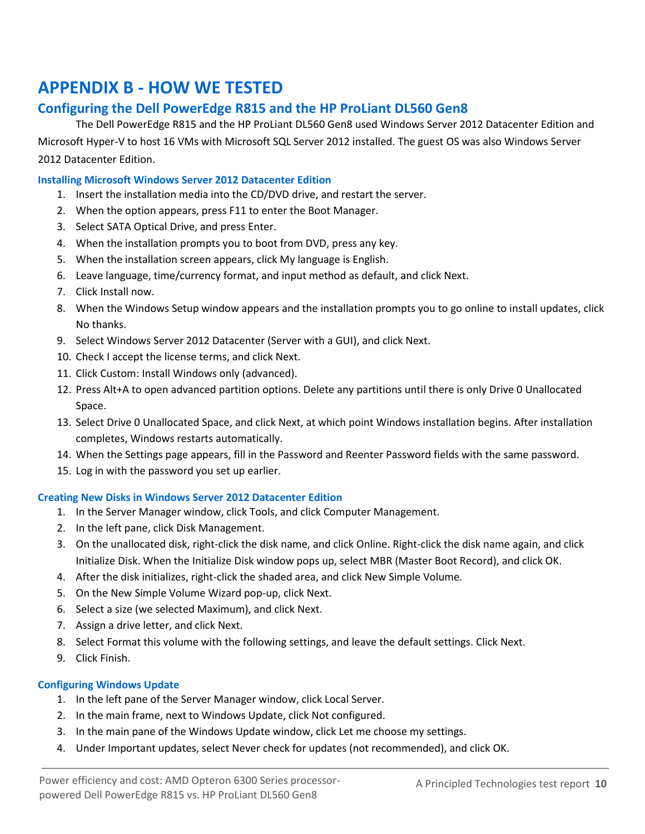# <span id="page-9-0"></span>**APPENDIX B - HOW WE TESTED**

### **Configuring the Dell PowerEdge R815 and the HP ProLiant DL560 Gen8**

The Dell PowerEdge R815 and the HP ProLiant DL560 Gen8 used Windows Server 2012 Datacenter Edition and Microsoft Hyper-V to host 16 VMs with Microsoft SQL Server 2012 installed. The guest OS was also Windows Server 2012 Datacenter Edition.

#### **Installing Microsoft Windows Server 2012 Datacenter Edition**

- 1. Insert the installation media into the CD/DVD drive, and restart the server.
- 2. When the option appears, press F11 to enter the Boot Manager.
- 3. Select SATA Optical Drive, and press Enter.
- 4. When the installation prompts you to boot from DVD, press any key.
- 5. When the installation screen appears, click My language is English.
- 6. Leave language, time/currency format, and input method as default, and click Next.
- 7. Click Install now.
- 8. When the Windows Setup window appears and the installation prompts you to go online to install updates, click No thanks.
- 9. Select Windows Server 2012 Datacenter (Server with a GUI), and click Next.
- 10. Check I accept the license terms, and click Next.
- 11. Click Custom: Install Windows only (advanced).
- 12. Press Alt+A to open advanced partition options. Delete any partitions until there is only Drive 0 Unallocated Space.
- 13. Select Drive 0 Unallocated Space, and click Next, at which point Windows installation begins. After installation completes, Windows restarts automatically.
- 14. When the Settings page appears, fill in the Password and Reenter Password fields with the same password.
- 15. Log in with the password you set up earlier.

#### **Creating New Disks in Windows Server 2012 Datacenter Edition**

- 1. In the Server Manager window, click Tools, and click Computer Management.
- 2. In the left pane, click Disk Management.
- 3. On the unallocated disk, right-click the disk name, and click Online. Right-click the disk name again, and click Initialize Disk. When the Initialize Disk window pops up, select MBR (Master Boot Record), and click OK.
- 4. After the disk initializes, right-click the shaded area, and click New Simple Volume.
- 5. On the New Simple Volume Wizard pop-up, click Next.
- 6. Select a size (we selected Maximum), and click Next.
- 7. Assign a drive letter, and click Next.
- 8. Select Format this volume with the following settings, and leave the default settings. Click Next.
- 9. Click Finish.

#### **Configuring Windows Update**

- 1. In the left pane of the Server Manager window, click Local Server.
- 2. In the main frame, next to Windows Update, click Not configured.
- 3. In the main pane of the Windows Update window, click Let me choose my settings.
- 4. Under Important updates, select Never check for updates (not recommended), and click OK.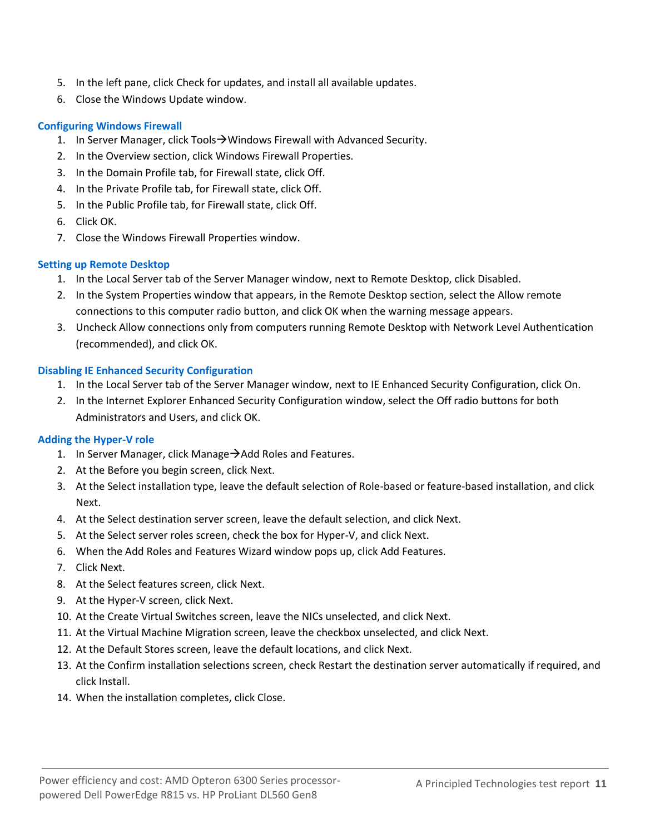- 5. In the left pane, click Check for updates, and install all available updates.
- 6. Close the Windows Update window.

#### **Configuring Windows Firewall**

- 1. In Server Manager, click Tools $\rightarrow$  Windows Firewall with Advanced Security.
- 2. In the Overview section, click Windows Firewall Properties.
- 3. In the Domain Profile tab, for Firewall state, click Off.
- 4. In the Private Profile tab, for Firewall state, click Off.
- 5. In the Public Profile tab, for Firewall state, click Off.
- 6. Click OK.
- 7. Close the Windows Firewall Properties window.

#### **Setting up Remote Desktop**

- 1. In the Local Server tab of the Server Manager window, next to Remote Desktop, click Disabled.
- 2. In the System Properties window that appears, in the Remote Desktop section, select the Allow remote connections to this computer radio button, and click OK when the warning message appears.
- 3. Uncheck Allow connections only from computers running Remote Desktop with Network Level Authentication (recommended), and click OK.

#### **Disabling IE Enhanced Security Configuration**

- 1. In the Local Server tab of the Server Manager window, next to IE Enhanced Security Configuration, click On.
- 2. In the Internet Explorer Enhanced Security Configuration window, select the Off radio buttons for both Administrators and Users, and click OK.

#### **Adding the Hyper-V role**

- 1. In Server Manager, click Manage $\rightarrow$  Add Roles and Features.
- 2. At the Before you begin screen, click Next.
- 3. At the Select installation type, leave the default selection of Role-based or feature-based installation, and click Next.
- 4. At the Select destination server screen, leave the default selection, and click Next.
- 5. At the Select server roles screen, check the box for Hyper-V, and click Next.
- 6. When the Add Roles and Features Wizard window pops up, click Add Features.
- 7. Click Next.
- 8. At the Select features screen, click Next.
- 9. At the Hyper-V screen, click Next.
- 10. At the Create Virtual Switches screen, leave the NICs unselected, and click Next.
- 11. At the Virtual Machine Migration screen, leave the checkbox unselected, and click Next.
- 12. At the Default Stores screen, leave the default locations, and click Next.
- 13. At the Confirm installation selections screen, check Restart the destination server automatically if required, and click Install.
- 14. When the installation completes, click Close.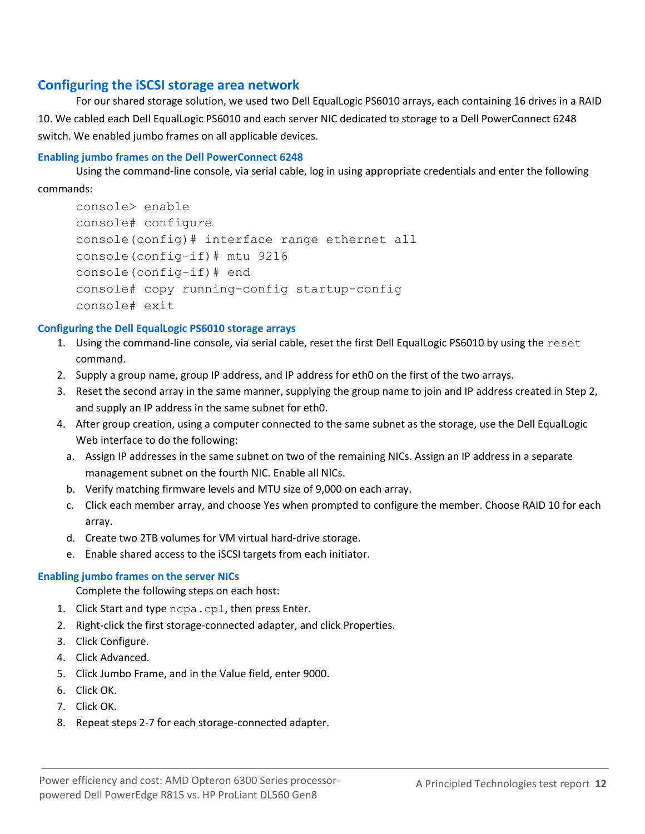### **Configuring the iSCSI storage area network**

For our shared storage solution, we used two Dell EqualLogic PS6010 arrays, each containing 16 drives in a RAID 10. We cabled each Dell EqualLogic PS6010 and each server NIC dedicated to storage to a Dell PowerConnect 6248 switch. We enabled jumbo frames on all applicable devices.

#### **Enabling jumbo frames on the Dell PowerConnect 6248**

Using the command-line console, via serial cable, log in using appropriate credentials and enter the following commands:

```
console> enable
console# configure
console(config)# interface range ethernet all
console(config-if)# mtu 9216
console(config-if)# end
console# copy running-config startup-config
console# exit
```
#### **Configuring the Dell EqualLogic PS6010 storage arrays**

- 1. Using the command-line console, via serial cable, reset the first Dell EqualLogic PS6010 by using the reset command.
- 2. Supply a group name, group IP address, and IP address for eth0 on the first of the two arrays.
- 3. Reset the second array in the same manner, supplying the group name to join and IP address created in Step 2, and supply an IP address in the same subnet for eth0.
- 4. After group creation, using a computer connected to the same subnet as the storage, use the Dell EqualLogic Web interface to do the following:
	- a. Assign IP addresses in the same subnet on two of the remaining NICs. Assign an IP address in a separate management subnet on the fourth NIC. Enable all NICs.
	- b. Verify matching firmware levels and MTU size of 9,000 on each array.
	- c. Click each member array, and choose Yes when prompted to configure the member. Choose RAID 10 for each array.
	- d. Create two 2TB volumes for VM virtual hard-drive storage.
	- e. Enable shared access to the iSCSI targets from each initiator.

#### **Enabling jumbo frames on the server NICs**

Complete the following steps on each host:

- 1. Click Start and type ncpa.cpl, then press Enter.
- 2. Right-click the first storage-connected adapter, and click Properties.
- 3. Click Configure.
- 4. Click Advanced.
- 5. Click Jumbo Frame, and in the Value field, enter 9000.
- 6. Click OK.
- 7. Click OK.
- 8. Repeat steps 2-7 for each storage-connected adapter.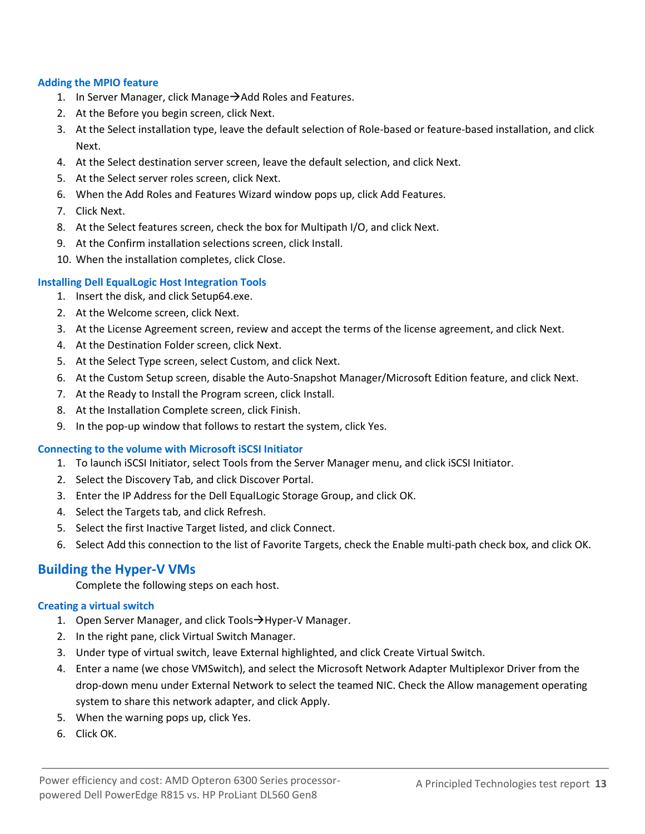#### **Adding the MPIO feature**

- 1. In Server Manager, click Manage $\rightarrow$  Add Roles and Features.
- 2. At the Before you begin screen, click Next.
- 3. At the Select installation type, leave the default selection of Role-based or feature-based installation, and click Next.
- 4. At the Select destination server screen, leave the default selection, and click Next.
- 5. At the Select server roles screen, click Next.
- 6. When the Add Roles and Features Wizard window pops up, click Add Features.
- 7. Click Next.
- 8. At the Select features screen, check the box for Multipath I/O, and click Next.
- 9. At the Confirm installation selections screen, click Install.
- 10. When the installation completes, click Close.

#### **Installing Dell EqualLogic Host Integration Tools**

- 1. Insert the disk, and click Setup64.exe.
- 2. At the Welcome screen, click Next.
- 3. At the License Agreement screen, review and accept the terms of the license agreement, and click Next.
- 4. At the Destination Folder screen, click Next.
- 5. At the Select Type screen, select Custom, and click Next.
- 6. At the Custom Setup screen, disable the Auto-Snapshot Manager/Microsoft Edition feature, and click Next.
- 7. At the Ready to Install the Program screen, click Install.
- 8. At the Installation Complete screen, click Finish.
- 9. In the pop-up window that follows to restart the system, click Yes.

#### **Connecting to the volume with Microsoft iSCSI Initiator**

- 1. To launch iSCSI Initiator, select Tools from the Server Manager menu, and click iSCSI Initiator.
- 2. Select the Discovery Tab, and click Discover Portal.
- 3. Enter the IP Address for the Dell EqualLogic Storage Group, and click OK.
- 4. Select the Targets tab, and click Refresh.
- 5. Select the first Inactive Target listed, and click Connect.
- 6. Select Add this connection to the list of Favorite Targets, check the Enable multi-path check box, and click OK.

#### **Building the Hyper-V VMs**

Complete the following steps on each host.

#### **Creating a virtual switch**

- 1. Open Server Manager, and click Tools  $\rightarrow$  Hyper-V Manager.
- 2. In the right pane, click Virtual Switch Manager.
- 3. Under type of virtual switch, leave External highlighted, and click Create Virtual Switch.
- 4. Enter a name (we chose VMSwitch), and select the Microsoft Network Adapter Multiplexor Driver from the drop-down menu under External Network to select the teamed NIC. Check the Allow management operating system to share this network adapter, and click Apply.
- 5. When the warning pops up, click Yes.
- 6. Click OK.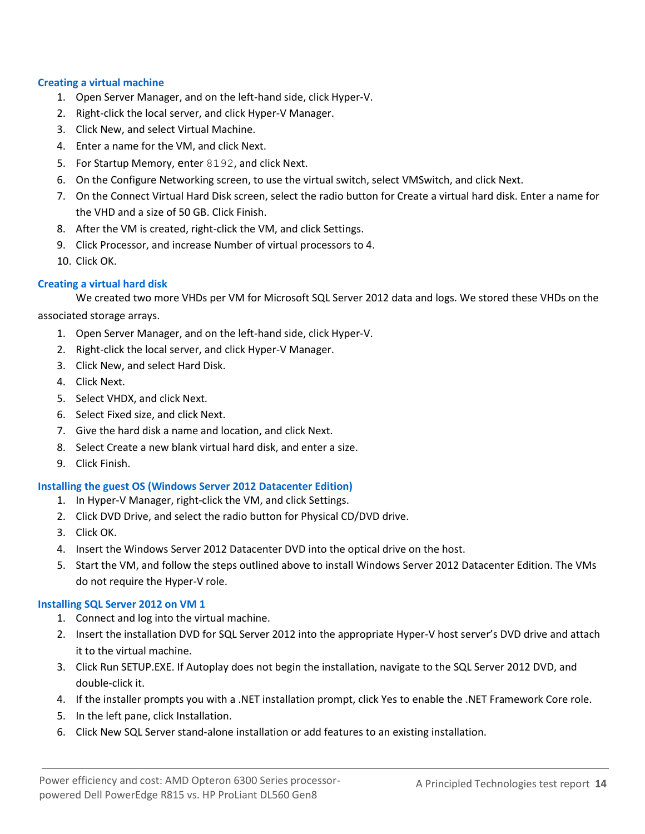#### **Creating a virtual machine**

- 1. Open Server Manager, and on the left-hand side, click Hyper-V.
- 2. Right-click the local server, and click Hyper-V Manager.
- 3. Click New, and select Virtual Machine.
- 4. Enter a name for the VM, and click Next.
- 5. For Startup Memory, enter 8192, and click Next.
- 6. On the Configure Networking screen, to use the virtual switch, select VMSwitch, and click Next.
- 7. On the Connect Virtual Hard Disk screen, select the radio button for Create a virtual hard disk. Enter a name for the VHD and a size of 50 GB. Click Finish.
- 8. After the VM is created, right-click the VM, and click Settings.
- 9. Click Processor, and increase Number of virtual processors to 4.
- 10. Click OK.

#### **Creating a virtual hard disk**

We created two more VHDs per VM for Microsoft SQL Server 2012 data and logs. We stored these VHDs on the

associated storage arrays.

- 1. Open Server Manager, and on the left-hand side, click Hyper-V.
- 2. Right-click the local server, and click Hyper-V Manager.
- 3. Click New, and select Hard Disk.
- 4. Click Next.
- 5. Select VHDX, and click Next.
- 6. Select Fixed size, and click Next.
- 7. Give the hard disk a name and location, and click Next.
- 8. Select Create a new blank virtual hard disk, and enter a size.
- 9. Click Finish.

#### **Installing the guest OS (Windows Server 2012 Datacenter Edition)**

- 1. In Hyper-V Manager, right-click the VM, and click Settings.
- 2. Click DVD Drive, and select the radio button for Physical CD/DVD drive.
- 3. Click OK.
- 4. Insert the Windows Server 2012 Datacenter DVD into the optical drive on the host.
- 5. Start the VM, and follow the steps outlined above to install Windows Server 2012 Datacenter Edition. The VMs do not require the Hyper-V role.

#### **Installing SQL Server 2012 on VM 1**

- 1. Connect and log into the virtual machine.
- 2. Insert the installation DVD for SQL Server 2012 into the appropriate Hyper-V host server's DVD drive and attach it to the virtual machine.
- 3. Click Run SETUP.EXE. If Autoplay does not begin the installation, navigate to the SQL Server 2012 DVD, and double-click it.
- 4. If the installer prompts you with a .NET installation prompt, click Yes to enable the .NET Framework Core role.
- 5. In the left pane, click Installation.
- 6. Click New SQL Server stand-alone installation or add features to an existing installation.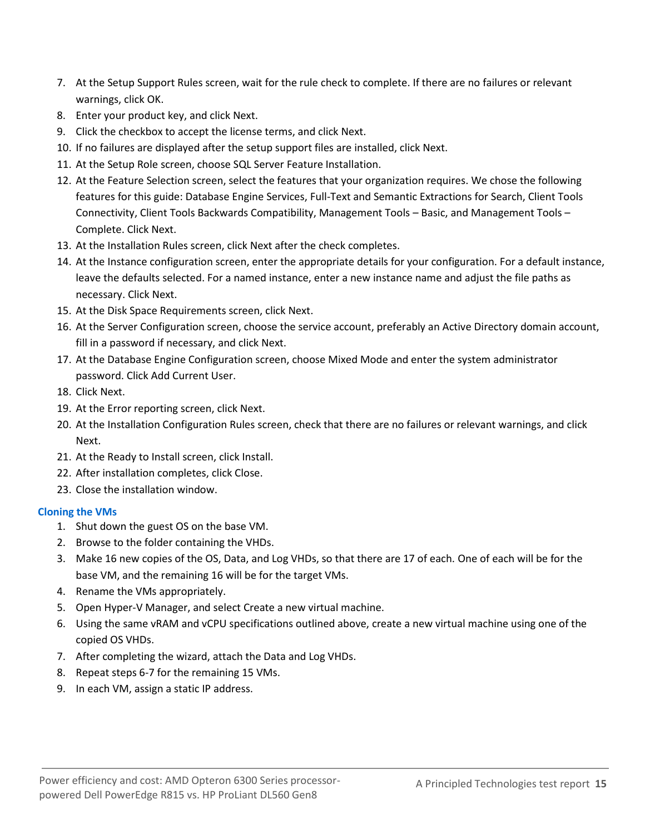- 7. At the Setup Support Rules screen, wait for the rule check to complete. If there are no failures or relevant warnings, click OK.
- 8. Enter your product key, and click Next.
- 9. Click the checkbox to accept the license terms, and click Next.
- 10. If no failures are displayed after the setup support files are installed, click Next.
- 11. At the Setup Role screen, choose SQL Server Feature Installation.
- 12. At the Feature Selection screen, select the features that your organization requires. We chose the following features for this guide: Database Engine Services, Full-Text and Semantic Extractions for Search, Client Tools Connectivity, Client Tools Backwards Compatibility, Management Tools – Basic, and Management Tools – Complete. Click Next.
- 13. At the Installation Rules screen, click Next after the check completes.
- 14. At the Instance configuration screen, enter the appropriate details for your configuration. For a default instance, leave the defaults selected. For a named instance, enter a new instance name and adjust the file paths as necessary. Click Next.
- 15. At the Disk Space Requirements screen, click Next.
- 16. At the Server Configuration screen, choose the service account, preferably an Active Directory domain account, fill in a password if necessary, and click Next.
- 17. At the Database Engine Configuration screen, choose Mixed Mode and enter the system administrator password. Click Add Current User.
- 18. Click Next.
- 19. At the Error reporting screen, click Next.
- 20. At the Installation Configuration Rules screen, check that there are no failures or relevant warnings, and click Next.
- 21. At the Ready to Install screen, click Install.
- 22. After installation completes, click Close.
- 23. Close the installation window.

#### **Cloning the VMs**

- 1. Shut down the guest OS on the base VM.
- 2. Browse to the folder containing the VHDs.
- 3. Make 16 new copies of the OS, Data, and Log VHDs, so that there are 17 of each. One of each will be for the base VM, and the remaining 16 will be for the target VMs.
- 4. Rename the VMs appropriately.
- 5. Open Hyper-V Manager, and select Create a new virtual machine.
- 6. Using the same vRAM and vCPU specifications outlined above, create a new virtual machine using one of the copied OS VHDs.
- 7. After completing the wizard, attach the Data and Log VHDs.
- 8. Repeat steps 6-7 for the remaining 15 VMs.
- 9. In each VM, assign a static IP address.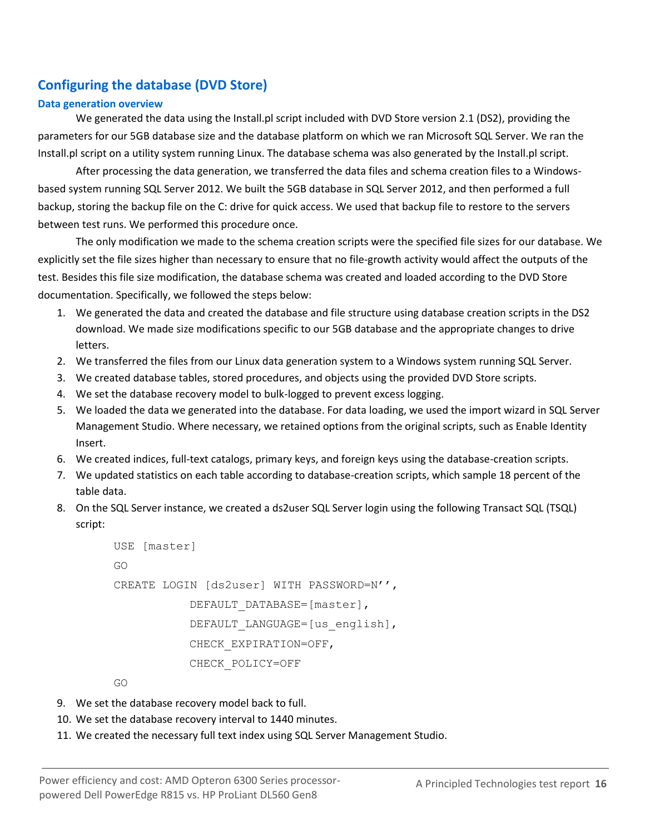### **Configuring the database (DVD Store)**

#### **Data generation overview**

We generated the data using the Install.pl script included with DVD Store version 2.1 (DS2), providing the parameters for our 5GB database size and the database platform on which we ran Microsoft SQL Server. We ran the Install.pl script on a utility system running Linux. The database schema was also generated by the Install.pl script.

After processing the data generation, we transferred the data files and schema creation files to a Windowsbased system running SQL Server 2012. We built the 5GB database in SQL Server 2012, and then performed a full backup, storing the backup file on the C: drive for quick access. We used that backup file to restore to the servers between test runs. We performed this procedure once.

The only modification we made to the schema creation scripts were the specified file sizes for our database. We explicitly set the file sizes higher than necessary to ensure that no file-growth activity would affect the outputs of the test. Besides this file size modification, the database schema was created and loaded according to the DVD Store documentation. Specifically, we followed the steps below:

- 1. We generated the data and created the database and file structure using database creation scripts in the DS2 download. We made size modifications specific to our 5GB database and the appropriate changes to drive letters.
- 2. We transferred the files from our Linux data generation system to a Windows system running SQL Server.
- 3. We created database tables, stored procedures, and objects using the provided DVD Store scripts.
- 4. We set the database recovery model to bulk-logged to prevent excess logging.
- 5. We loaded the data we generated into the database. For data loading, we used the import wizard in SQL Server Management Studio. Where necessary, we retained options from the original scripts, such as Enable Identity Insert.
- 6. We created indices, full-text catalogs, primary keys, and foreign keys using the database-creation scripts.
- 7. We updated statistics on each table according to database-creation scripts, which sample 18 percent of the table data.
- 8. On the SQL Server instance, we created a ds2user SQL Server login using the following Transact SQL (TSQL) script:

```
USE [master]
GO
CREATE LOGIN [ds2user] WITH PASSWORD=N'',
           DEFAULT_DATABASE=[master],
           DEFAULT_LANGUAGE=[us english],
           CHECK_EXPIRATION=OFF,
           CHECK_POLICY=OFF
```
GO

- 9. We set the database recovery model back to full.
- 10. We set the database recovery interval to 1440 minutes.
- 11. We created the necessary full text index using SQL Server Management Studio.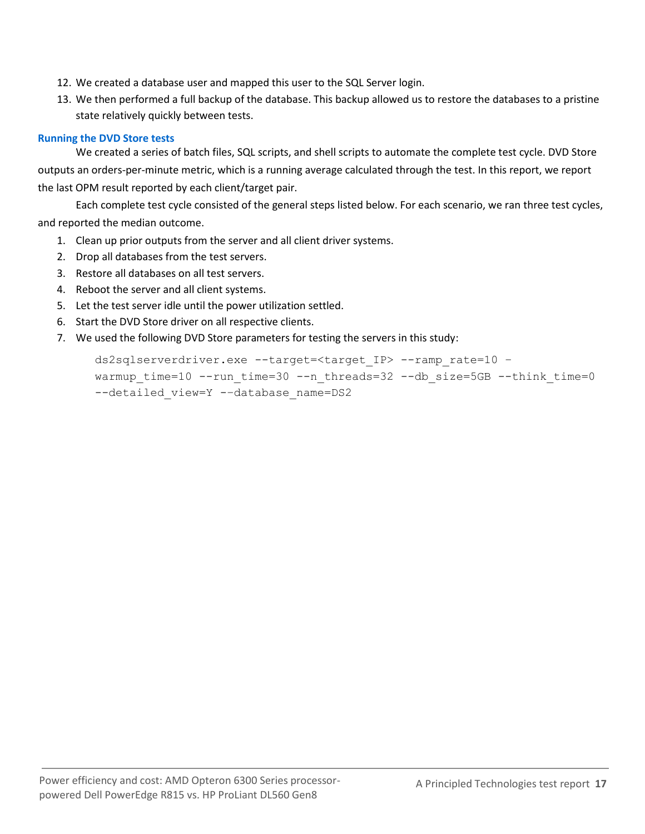- 12. We created a database user and mapped this user to the SQL Server login.
- 13. We then performed a full backup of the database. This backup allowed us to restore the databases to a pristine state relatively quickly between tests.

#### **Running the DVD Store tests**

We created a series of batch files, SQL scripts, and shell scripts to automate the complete test cycle. DVD Store outputs an orders-per-minute metric, which is a running average calculated through the test. In this report, we report the last OPM result reported by each client/target pair.

Each complete test cycle consisted of the general steps listed below. For each scenario, we ran three test cycles, and reported the median outcome.

- 1. Clean up prior outputs from the server and all client driver systems.
- 2. Drop all databases from the test servers.
- 3. Restore all databases on all test servers.
- 4. Reboot the server and all client systems.
- 5. Let the test server idle until the power utilization settled.
- 6. Start the DVD Store driver on all respective clients.
- 7. We used the following DVD Store parameters for testing the servers in this study:

ds2sqlserverdriver.exe --target=<target\_IP> --ramp\_rate=10 – warmup time=10 --run time=30 --n threads=32 --db size=5GB --think time=0 --detailed view=Y --database name=DS2